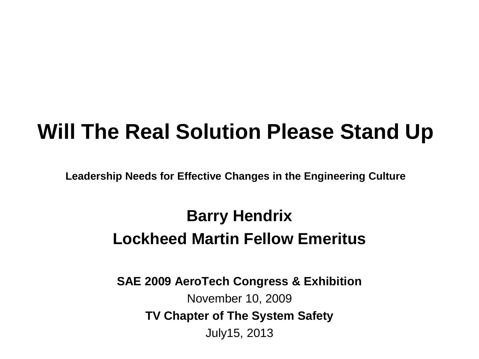#### **Will The Real Solution Please Stand Up**

**Leadership Needs for Effective Changes in the Engineering Culture**

#### **Barry Hendrix Lockheed Martin Fellow Emeritus**

**SAE 2009 AeroTech Congress & Exhibition** November 10, 2009 **TV Chapter of The System Safety** July15, 2013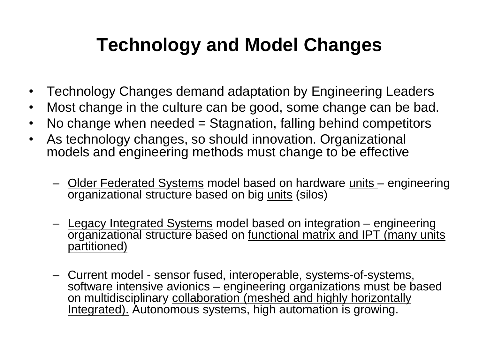#### **Technology and Model Changes**

- Technology Changes demand adaptation by Engineering Leaders
- Most change in the culture can be good, some change can be bad.
- No change when needed = Stagnation, falling behind competitors
- As technology changes, so should innovation. Organizational models and engineering methods must change to be effective
	- Older Federated Systems model based on hardware units engineering organizational structure based on big units (silos)
	- Legacy Integrated Systems model based on integration engineering organizational structure based on functional matrix and IPT (many units partitioned)
	- Current model sensor fused, interoperable, systems-of-systems, software intensive avionics - engineering organizations must be based on multidisciplinary collaboration (meshed and highly horizontally Integrated). Autonomous systems, high automation is growing.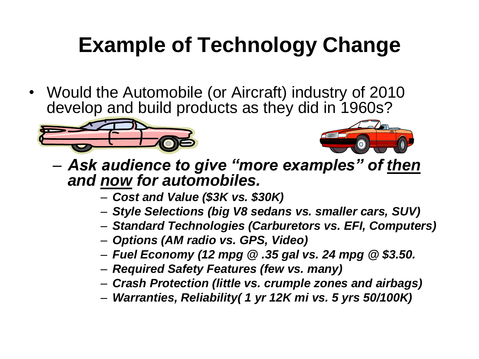# **Example of Technology Change**

• Would the Automobile (or Aircraft) industry of 2010 develop and build products as they did in 1960s?





- *Ask audience to give "more examples" of then and now for automobiles.*
	- *Cost and Value (\$3K vs. \$30K)*
	- *Style Selections (big V8 sedans vs. smaller cars, SUV)*
	- *Standard Technologies (Carburetors vs. EFI, Computers)*
	- *Options (AM radio vs. GPS, Video)*
	- *Fuel Economy (12 mpg @ .35 gal vs. 24 mpg @ \$3.50.*
	- *Required Safety Features (few vs. many)*
	- *Crash Protection (little vs. crumple zones and airbags)*
	- *Warranties, Reliability( 1 yr 12K mi vs. 5 yrs 50/100K)*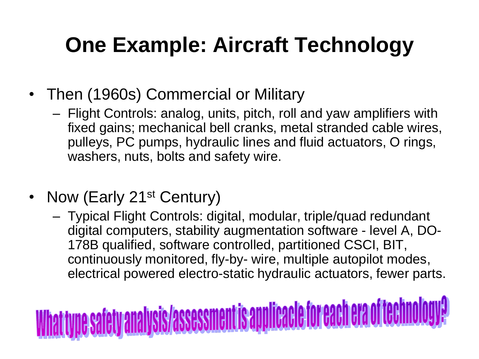## **One Example: Aircraft Technology**

- Then (1960s) Commercial or Military
	- Flight Controls: analog, units, pitch, roll and yaw amplifiers with fixed gains; mechanical bell cranks, metal stranded cable wires, pulleys, PC pumps, hydraulic lines and fluid actuators, O rings, washers, nuts, bolts and safety wire.
- Now (Early 21<sup>st</sup> Century)
	- Typical Flight Controls: digital, modular, triple/quad redundant digital computers, stability augmentation software - level A, DO-178B qualified, software controlled, partitioned CSCI, BIT, continuously monitored, fly-by- wire, multiple autopilot modes, electrical powered electro-static hydraulic actuators, fewer parts.

# <u>une safety analysis/assessment is applicacle for each era of techno</u>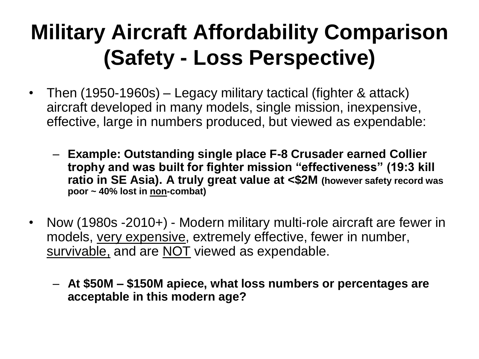## **Military Aircraft Affordability Comparison (Safety - Loss Perspective)**

- Then (1950-1960s) Legacy military tactical (fighter & attack) aircraft developed in many models, single mission, inexpensive, effective, large in numbers produced, but viewed as expendable:
	- **Example: Outstanding single place F-8 Crusader earned Collier trophy and was built for fighter mission "effectiveness" (19:3 kill ratio in SE Asia). A truly great value at <\$2M (however safety record was poor ~ 40% lost in non-combat)**
- Now (1980s -2010+) Modern military multi-role aircraft are fewer in models, very expensive, extremely effective, fewer in number, survivable, and are NOT viewed as expendable.
	- **At \$50M – \$150M apiece, what loss numbers or percentages are acceptable in this modern age?**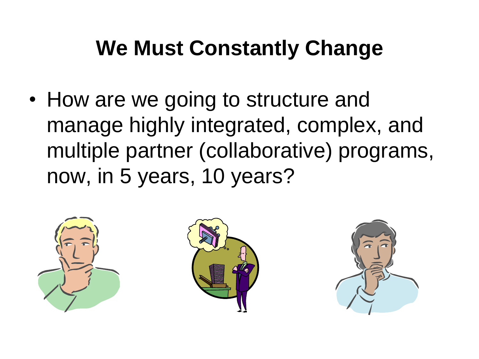## **We Must Constantly Change**

• How are we going to structure and manage highly integrated, complex, and multiple partner (collaborative) programs, now, in 5 years, 10 years?





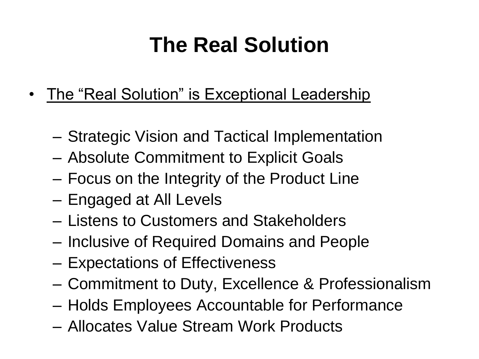## **The Real Solution**

- The "Real Solution" is Exceptional Leadership
	- Strategic Vision and Tactical Implementation
	- Absolute Commitment to Explicit Goals
	- Focus on the Integrity of the Product Line
	- Engaged at All Levels
	- Listens to Customers and Stakeholders
	- Inclusive of Required Domains and People
	- Expectations of Effectiveness
	- Commitment to Duty, Excellence & Professionalism
	- Holds Employees Accountable for Performance
	- Allocates Value Stream Work Products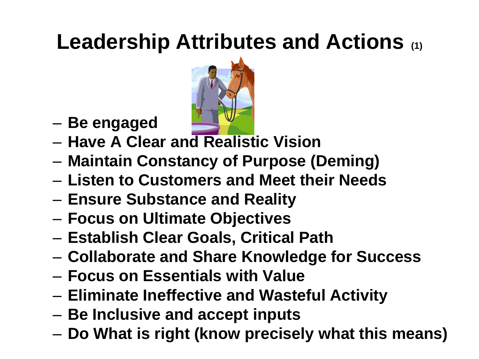## **Leadership Attributes and Actions (1)**



- **Be engaged**
- **Have A Clear and Realistic Vision**
- **Maintain Constancy of Purpose (Deming)**
- **Listen to Customers and Meet their Needs**
- **Ensure Substance and Reality**
- **Focus on Ultimate Objectives**
- **Establish Clear Goals, Critical Path**
- **Collaborate and Share Knowledge for Success**
- **Focus on Essentials with Value**
- **Eliminate Ineffective and Wasteful Activity**
- **Be Inclusive and accept inputs**
- **Do What is right (know precisely what this means)**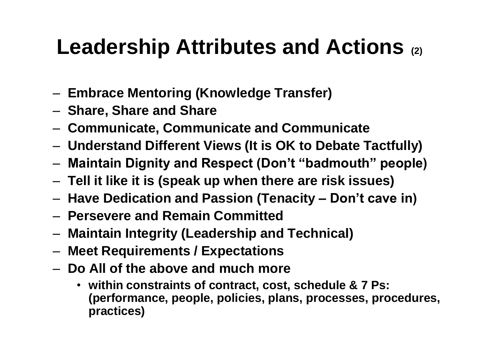#### **Leadership Attributes and Actions (2)**

- **Embrace Mentoring (Knowledge Transfer)**
- **Share, Share and Share**
- **Communicate, Communicate and Communicate**
- **Understand Different Views (It is OK to Debate Tactfully)**
- **Maintain Dignity and Respect (Don't "badmouth" people)**
- **Tell it like it is (speak up when there are risk issues)**
- **Have Dedication and Passion (Tenacity – Don't cave in)**
- **Persevere and Remain Committed**
- **Maintain Integrity (Leadership and Technical)**
- **Meet Requirements / Expectations**
- **Do All of the above and much more** 
	- **within constraints of contract, cost, schedule & 7 Ps: (performance, people, policies, plans, processes, procedures, practices)**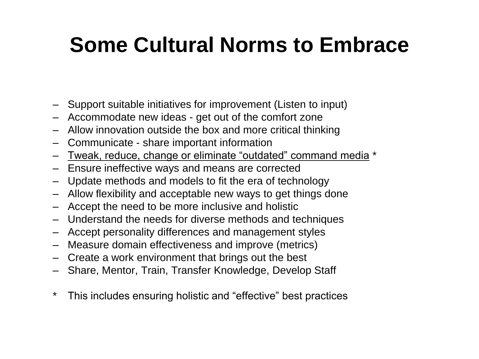## **Some Cultural Norms to Embrace**

- Support suitable initiatives for improvement (Listen to input)
- Accommodate new ideas get out of the comfort zone
- Allow innovation outside the box and more critical thinking
- Communicate share important information
- Tweak, reduce, change or eliminate "outdated" command media \*
- Ensure ineffective ways and means are corrected
- Update methods and models to fit the era of technology
- Allow flexibility and acceptable new ways to get things done
- Accept the need to be more inclusive and holistic
- Understand the needs for diverse methods and techniques
- Accept personality differences and management styles
- Measure domain effectiveness and improve (metrics)
- Create a work environment that brings out the best
- Share, Mentor, Train, Transfer Knowledge, Develop Staff
- \* This includes ensuring holistic and "effective" best practices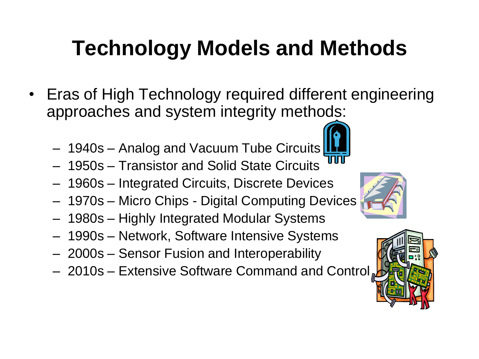# **Technology Models and Methods**

- Eras of High Technology required different engineering approaches and system integrity methods:
	- 1940s Analog and Vacuum Tube Circuits
	- 1950s Transistor and Solid State Circuits
	- 1960s Integrated Circuits, Discrete Devices
	- 1970s Micro Chips Digital Computing Devices
	- 1980s Highly Integrated Modular Systems
	- 1990s Network, Software Intensive Systems
	- 2000s Sensor Fusion and Interoperability
	- $-2010s$  Extensive Software Command and Control



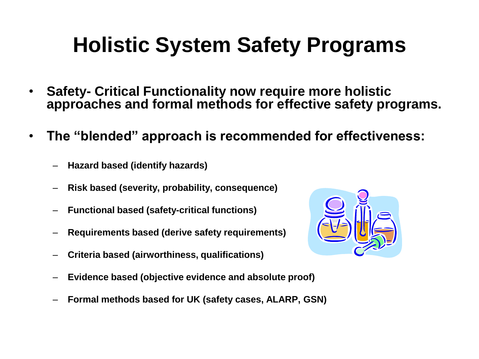## **Holistic System Safety Programs**

- **Safety- Critical Functionality now require more holistic approaches and formal methods for effective safety programs.**
- **The "blended" approach is recommended for effectiveness:**
	- **Hazard based (identify hazards)**
	- **Risk based (severity, probability, consequence)**
	- **Functional based (safety-critical functions)**
	- **Requirements based (derive safety requirements)**
	- **Criteria based (airworthiness, qualifications)**
	- **Evidence based (objective evidence and absolute proof)**
	- **Formal methods based for UK (safety cases, ALARP, GSN)**

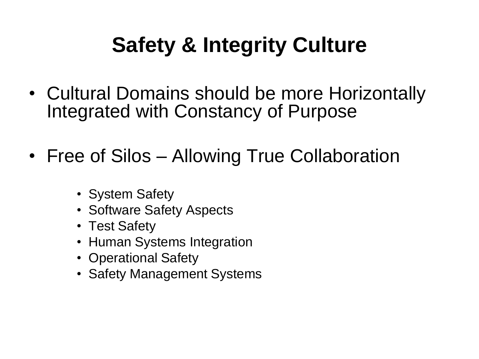# **Safety & Integrity Culture**

- Cultural Domains should be more Horizontally Integrated with Constancy of Purpose
- Free of Silos Allowing True Collaboration
	- System Safety
	- Software Safety Aspects
	- Test Safety
	- Human Systems Integration
	- Operational Safety
	- Safety Management Systems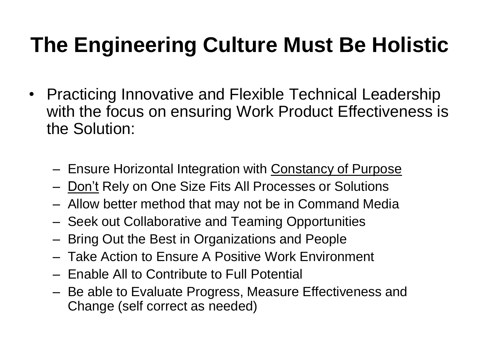## **The Engineering Culture Must Be Holistic**

- Practicing Innovative and Flexible Technical Leadership with the focus on ensuring Work Product Effectiveness is the Solution:
	- Ensure Horizontal Integration with Constancy of Purpose
	- Don't Rely on One Size Fits All Processes or Solutions
	- Allow better method that may not be in Command Media
	- Seek out Collaborative and Teaming Opportunities
	- Bring Out the Best in Organizations and People
	- Take Action to Ensure A Positive Work Environment
	- Enable All to Contribute to Full Potential
	- Be able to Evaluate Progress, Measure Effectiveness and Change (self correct as needed)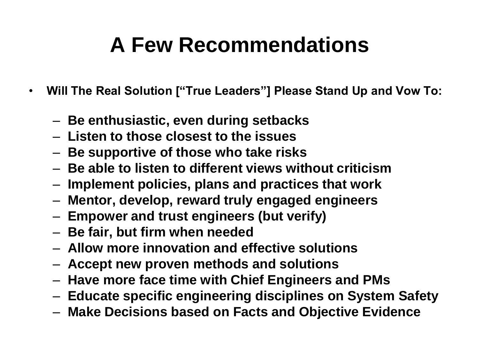## **A Few Recommendations**

- **Will The Real Solution ["True Leaders"] Please Stand Up and Vow To:**
	- **Be enthusiastic, even during setbacks**
	- **Listen to those closest to the issues**
	- **Be supportive of those who take risks**
	- **Be able to listen to different views without criticism**
	- **Implement policies, plans and practices that work**
	- **Mentor, develop, reward truly engaged engineers**
	- **Empower and trust engineers (but verify)**
	- **Be fair, but firm when needed**
	- **Allow more innovation and effective solutions**
	- **Accept new proven methods and solutions**
	- **Have more face time with Chief Engineers and PMs**
	- **Educate specific engineering disciplines on System Safety**
	- **Make Decisions based on Facts and Objective Evidence**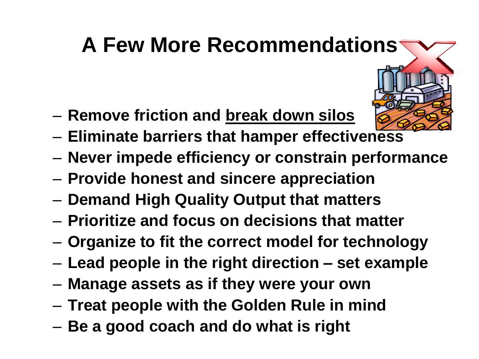## **A Few More Recommendations**

- 
- **Remove friction and break down silos**
- **Eliminate barriers that hamper effectiveness**
- **Never impede efficiency or constrain performance**
- **Provide honest and sincere appreciation**
- **Demand High Quality Output that matters**
- **Prioritize and focus on decisions that matter**
- **Organize to fit the correct model for technology**
- **Lead people in the right direction – set example**
- **Manage assets as if they were your own**
- **Treat people with the Golden Rule in mind**
- **Be a good coach and do what is right**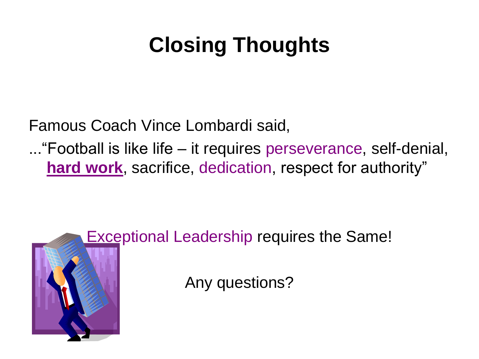# **Closing Thoughts**

Famous Coach Vince Lombardi said,

..."Football is like life – it requires perseverance, self-denial, **hard work**, sacrifice, dedication, respect for authority"



**Exceptional Leadership requires the Same!** 

Any questions?